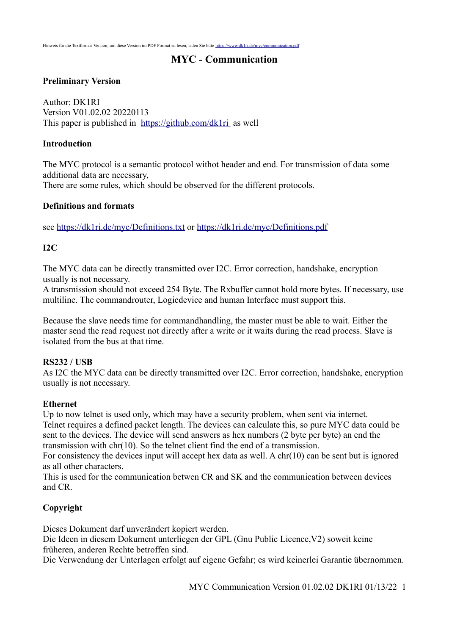# **MYC - Communication**

## **Preliminary Version**

Author: DK1RI Version V01.02.02 20220113 This paper is published in <https://github.com/dk1ri>as well

#### **Introduction**

The MYC protocol is a semantic protocol withot header and end. For transmission of data some additional data are necessary, There are some rules, which should be observed for the different protocols.

### **Definitions and formats**

see<https://dk1ri.de/myc/Definitions.txt> or<https://dk1ri.de/myc/Definitions.pdf>

### **I2C**

The MYC data can be directly transmitted over I2C. Error correction, handshake, encryption usually is not necessary.

A transmission should not exceed 254 Byte. The Rxbuffer cannot hold more bytes. If necessary, use multiline. The commandrouter, Logicdevice and human Interface must support this.

Because the slave needs time for commandhandling, the master must be able to wait. Either the master send the read request not directly after a write or it waits during the read process. Slave is isolated from the bus at that time.

#### **RS232 / USB**

As I2C the MYC data can be directly transmitted over I2C. Error correction, handshake, encryption usually is not necessary.

#### **Ethernet**

Up to now telnet is used only, which may have a security problem, when sent via internet. Telnet requires a defined packet length. The devices can calculate this, so pure MYC data could be sent to the devices. The device will send answers as hex numbers (2 byte per byte) an end the transmission with chr(10). So the telnet client find the end of a transmission.

For consistency the devices input will accept hex data as well. A chr(10) can be sent but is ignored as all other characters.

This is used for the communication betwen CR and SK and the communication between devices and CR.

### **Copyright**

Dieses Dokument darf unverändert kopiert werden.

Die Ideen in diesem Dokument unterliegen der GPL (Gnu Public Licence,V2) soweit keine früheren, anderen Rechte betroffen sind.

Die Verwendung der Unterlagen erfolgt auf eigene Gefahr; es wird keinerlei Garantie übernommen.